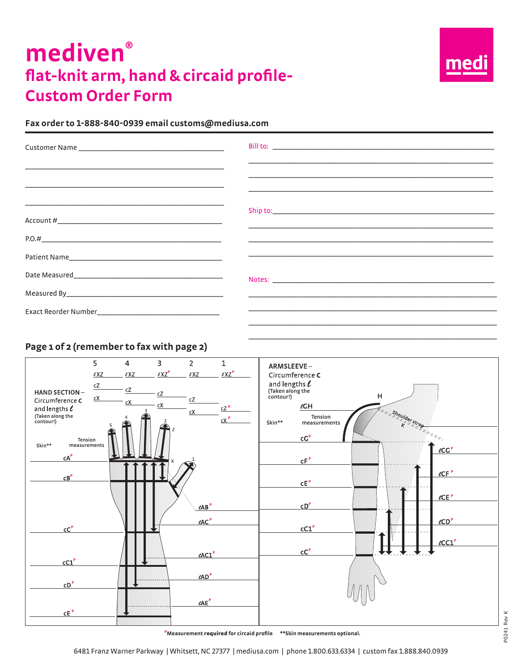# **mediven® flat-knit arm, hand & circaid profile-Custom Order Form**



#### **Fax order to 1-888-840-0939 email customs@mediusa.com**

| <u> 1989 - Johann Harry Harry Harry Harry Harry Harry Harry Harry Harry Harry Harry Harry Harry Harry Harry Harry</u> |                                                                                                                                                                                      |
|-----------------------------------------------------------------------------------------------------------------------|--------------------------------------------------------------------------------------------------------------------------------------------------------------------------------------|
|                                                                                                                       |                                                                                                                                                                                      |
|                                                                                                                       |                                                                                                                                                                                      |
|                                                                                                                       | <u> 1989 - Johann Stoff, amerikansk politiker (d. 1989)</u><br><u> 1989 - John Harry Harry Harry Harry Harry Harry Harry Harry Harry Harry Harry Harry Harry Harry Harry Harry H</u> |
|                                                                                                                       |                                                                                                                                                                                      |
|                                                                                                                       |                                                                                                                                                                                      |
|                                                                                                                       | <u> 1989 - Jan James James James James James James James James James James James James James James James James J</u>                                                                 |
|                                                                                                                       |                                                                                                                                                                                      |
|                                                                                                                       |                                                                                                                                                                                      |

\_\_\_\_\_\_\_\_\_\_\_\_\_\_\_\_\_\_\_\_\_\_\_\_\_\_\_\_\_\_\_\_\_\_\_\_\_\_\_\_\_\_\_\_\_\_\_\_\_\_\_\_\_\_\_\_\_\_\_\_\_\_\_\_\_

#### **Page 1 of 2 (remember to fax with page 2)**

| <b>HAND SECTION-</b><br>Circumference C<br>and lengths $\ell$<br>(Taken along the<br>contour!) | $\overline{5}$<br>$\ell$ XZ<br>$\underline{c}\underline{Z}$<br>cX | $\overline{4}$<br>$\ell$ XZ<br>cZ<br>сX | $\overline{3}$<br>$\ell$ XZ <sup>P</sup><br>cZ<br>cX | $\overline{2}$<br>$\ell$ XZ<br>cZ<br>сX                          | $\mathbf{1}$<br>$\ell$ XZ $^{\rm P}$<br>cZ <sup>P</sup><br>$cX$ <sup>P</sup> | ARMSLEEVE-<br>Circumference C<br>and lengths $\ell$<br>(Taken along the<br>contour!)<br>н<br>$\ell$ GH<br>shoulder strap<br>Tension<br>Skin**<br>measurements |
|------------------------------------------------------------------------------------------------|-------------------------------------------------------------------|-----------------------------------------|------------------------------------------------------|------------------------------------------------------------------|------------------------------------------------------------------------------|---------------------------------------------------------------------------------------------------------------------------------------------------------------|
| Skin**<br>$cA^P$<br>CB <sup>P</sup>                                                            | Tension<br>measurements                                           |                                         | X                                                    |                                                                  |                                                                              | $cC^P$<br>$\ell CG^P$<br>$cF^P$<br>$\ell$ CF $P$<br>$\tt cEp$                                                                                                 |
| cC <sup>P</sup>                                                                                |                                                                   |                                         |                                                      | $\ell AB$ <sup>P</sup><br>$\ell AC$ <sup>P</sup>                 |                                                                              | $\ell$ CE $P$<br>CD <sup>P</sup><br>$\ell$ CD <sup>P</sup><br>cC1 <sup>P</sup><br>$\ell$ CC1 $^P$<br>cC <sup>P</sup>                                          |
| cC1 <sup>P</sup><br>CD <sup>P</sup>                                                            |                                                                   |                                         |                                                      | $\ell$ AC1 $P$<br>$\ell AD$ <sup>P</sup><br>$\ell$ AE $^{\rm P}$ |                                                                              |                                                                                                                                                               |
| $\tt CE$ $P$                                                                                   |                                                                   |                                         |                                                      |                                                                  |                                                                              | PMeasurement required for circaid profile ** Skin measurements optional.                                                                                      |